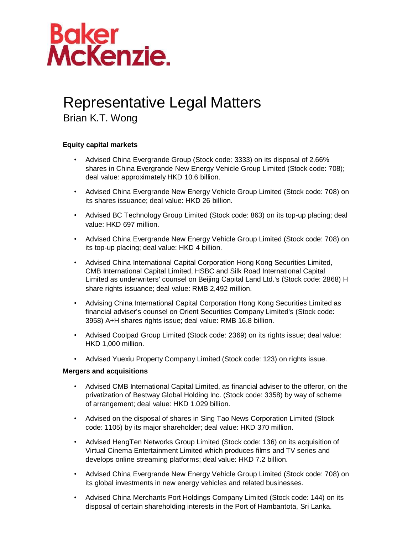

## Representative Legal Matters

Brian K.T. Wong

## **Equity capital markets**

- Advised China Evergrande Group (Stock code: 3333) on its disposal of 2.66% shares in China Evergrande New Energy Vehicle Group Limited (Stock code: 708); deal value: approximately HKD 10.6 billion.
- Advised China Evergrande New Energy Vehicle Group Limited (Stock code: 708) on its shares issuance; deal value: HKD 26 billion.
- Advised BC Technology Group Limited (Stock code: 863) on its top-up placing; deal value: HKD 697 million.
- Advised China Evergrande New Energy Vehicle Group Limited (Stock code: 708) on its top-up placing; deal value: HKD 4 billion.
- Advised China International Capital Corporation Hong Kong Securities Limited, CMB International Capital Limited, HSBC and Silk Road International Capital Limited as underwriters' counsel on Beijing Capital Land Ltd.'s (Stock code: 2868) H share rights issuance; deal value: RMB 2,492 million.
- Advising China International Capital Corporation Hong Kong Securities Limited as financial adviser's counsel on Orient Securities Company Limited's (Stock code: 3958) A+H shares rights issue; deal value: RMB 16.8 billion.
- Advised Coolpad Group Limited (Stock code: 2369) on its rights issue; deal value: HKD 1,000 million.
- Advised Yuexiu Property Company Limited (Stock code: 123) on rights issue.

## **Mergers and acquisitions**

- Advised CMB International Capital Limited, as financial adviser to the offeror, on the privatization of Bestway Global Holding Inc. (Stock code: 3358) by way of scheme of arrangement; deal value: HKD 1.029 billion.
- Advised on the disposal of shares in Sing Tao News Corporation Limited (Stock code: 1105) by its major shareholder; deal value: HKD 370 million.
- Advised HengTen Networks Group Limited (Stock code: 136) on its acquisition of Virtual Cinema Entertainment Limited which produces films and TV series and develops online streaming platforms; deal value: HKD 7.2 billion.
- Advised China Evergrande New Energy Vehicle Group Limited (Stock code: 708) on its global investments in new energy vehicles and related businesses.
- Advised China Merchants Port Holdings Company Limited (Stock code: 144) on its disposal of certain shareholding interests in the Port of Hambantota, Sri Lanka.